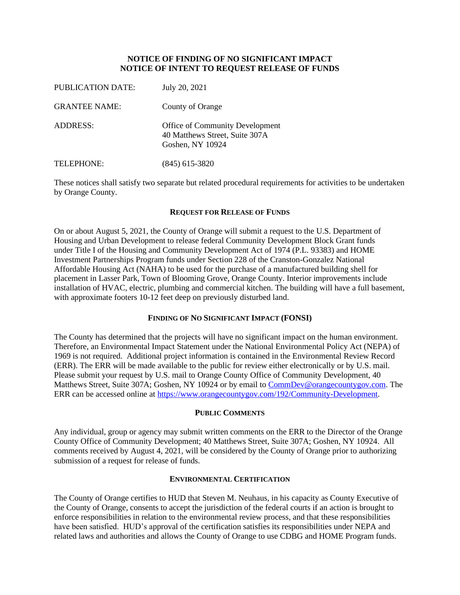## **NOTICE OF FINDING OF NO SIGNIFICANT IMPACT NOTICE OF INTENT TO REQUEST RELEASE OF FUNDS**

| <b>PUBLICATION DATE:</b> | July 20, 2021                                                                         |
|--------------------------|---------------------------------------------------------------------------------------|
| <b>GRANTEE NAME:</b>     | County of Orange                                                                      |
| <b>ADDRESS:</b>          | Office of Community Development<br>40 Matthews Street, Suite 307A<br>Goshen, NY 10924 |
| TELEPHONE:               | $(845)$ 615-3820                                                                      |

These notices shall satisfy two separate but related procedural requirements for activities to be undertaken by Orange County.

#### **REQUEST FOR RELEASE OF FUNDS**

On or about August 5, 2021, the County of Orange will submit a request to the U.S. Department of Housing and Urban Development to release federal Community Development Block Grant funds under Title I of the Housing and Community Development Act of 1974 (P.L. 93383) and HOME Investment Partnerships Program funds under Section 228 of the Cranston-Gonzalez National Affordable Housing Act (NAHA) to be used for the purchase of a manufactured building shell for placement in Lasser Park, Town of Blooming Grove, Orange County. Interior improvements include installation of HVAC, electric, plumbing and commercial kitchen. The building will have a full basement, with approximate footers 10-12 feet deep on previously disturbed land.

## **FINDING OF NO SIGNIFICANT IMPACT (FONSI)**

The County has determined that the projects will have no significant impact on the human environment. Therefore, an Environmental Impact Statement under the National Environmental Policy Act (NEPA) of 1969 is not required. Additional project information is contained in the Environmental Review Record (ERR). The ERR will be made available to the public for review either electronically or by U.S. mail. Please submit your request by U.S. mail to Orange County Office of Community Development, 40 Matthews Street, Suite 307A; Goshen, NY 10924 or by email to [CommDev@orangecountygov.com.](mailto:CommDev@orangecountygov.com) The ERR can be accessed online at [https://www.orangecountygov.com/192/Community-Development.](https://www.orangecountygov.com/192/Community-Development)

# **PUBLIC COMMENTS**

Any individual, group or agency may submit written comments on the ERR to the Director of the Orange County Office of Community Development; 40 Matthews Street, Suite 307A; Goshen, NY 10924. All comments received by August 4, 2021, will be considered by the County of Orange prior to authorizing submission of a request for release of funds.

## **ENVIRONMENTAL CERTIFICATION**

The County of Orange certifies to HUD that Steven M. Neuhaus, in his capacity as County Executive of the County of Orange, consents to accept the jurisdiction of the federal courts if an action is brought to enforce responsibilities in relation to the environmental review process, and that these responsibilities have been satisfied. HUD's approval of the certification satisfies its responsibilities under NEPA and related laws and authorities and allows the County of Orange to use CDBG and HOME Program funds.